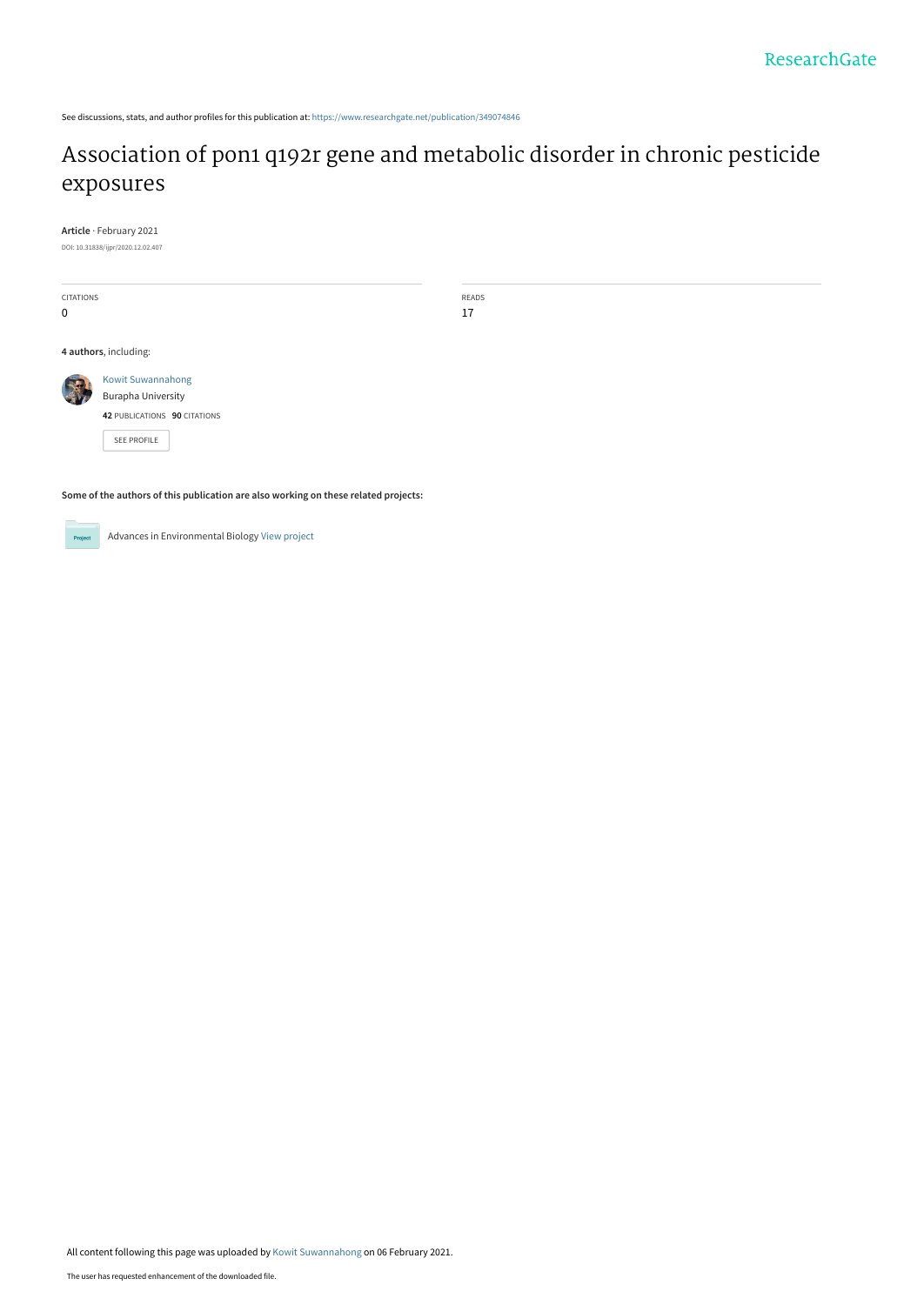See discussions, stats, and author profiles for this publication at: [https://www.researchgate.net/publication/349074846](https://www.researchgate.net/publication/349074846_Association_of_pon1_q192r_gene_and_metabolic_disorder_in_chronic_pesticide_exposures?enrichId=rgreq-7d6de241d3395180d87d583794afa87a-XXX&enrichSource=Y292ZXJQYWdlOzM0OTA3NDg0NjtBUzo5ODgxNDIyOTUzMzkwMTBAMTYxMjYwMjg5MDU2MA%3D%3D&el=1_x_2&_esc=publicationCoverPdf)

# [Association of pon1 q192r gene and metabolic disorder in chronic pesticide](https://www.researchgate.net/publication/349074846_Association_of_pon1_q192r_gene_and_metabolic_disorder_in_chronic_pesticide_exposures?enrichId=rgreq-7d6de241d3395180d87d583794afa87a-XXX&enrichSource=Y292ZXJQYWdlOzM0OTA3NDg0NjtBUzo5ODgxNDIyOTUzMzkwMTBAMTYxMjYwMjg5MDU2MA%3D%3D&el=1_x_3&_esc=publicationCoverPdf) exposures

**Article** · February 2021

DOI: 10.31838/ijpr/2020.12.02.407

CITATIONS 0

READS 17

**4 authors**, including:



[Burapha University](https://www.researchgate.net/institution/Burapha_University?enrichId=rgreq-7d6de241d3395180d87d583794afa87a-XXX&enrichSource=Y292ZXJQYWdlOzM0OTA3NDg0NjtBUzo5ODgxNDIyOTUzMzkwMTBAMTYxMjYwMjg5MDU2MA%3D%3D&el=1_x_6&_esc=publicationCoverPdf) **42** PUBLICATIONS **90** CITATIONS

[SEE PROFILE](https://www.researchgate.net/profile/Kowit-Suwannahong?enrichId=rgreq-7d6de241d3395180d87d583794afa87a-XXX&enrichSource=Y292ZXJQYWdlOzM0OTA3NDg0NjtBUzo5ODgxNDIyOTUzMzkwMTBAMTYxMjYwMjg5MDU2MA%3D%3D&el=1_x_7&_esc=publicationCoverPdf)

[Kowit Suwannahong](https://www.researchgate.net/profile/Kowit-Suwannahong?enrichId=rgreq-7d6de241d3395180d87d583794afa87a-XXX&enrichSource=Y292ZXJQYWdlOzM0OTA3NDg0NjtBUzo5ODgxNDIyOTUzMzkwMTBAMTYxMjYwMjg5MDU2MA%3D%3D&el=1_x_5&_esc=publicationCoverPdf)

**Some of the authors of this publication are also working on these related projects:**



Advances in Environmental Biology [View project](https://www.researchgate.net/project/Advances-in-Environmental-Biology?enrichId=rgreq-7d6de241d3395180d87d583794afa87a-XXX&enrichSource=Y292ZXJQYWdlOzM0OTA3NDg0NjtBUzo5ODgxNDIyOTUzMzkwMTBAMTYxMjYwMjg5MDU2MA%3D%3D&el=1_x_9&_esc=publicationCoverPdf)

All content following this page was uploaded by [Kowit Suwannahong](https://www.researchgate.net/profile/Kowit-Suwannahong?enrichId=rgreq-7d6de241d3395180d87d583794afa87a-XXX&enrichSource=Y292ZXJQYWdlOzM0OTA3NDg0NjtBUzo5ODgxNDIyOTUzMzkwMTBAMTYxMjYwMjg5MDU2MA%3D%3D&el=1_x_10&_esc=publicationCoverPdf) on 06 February 2021.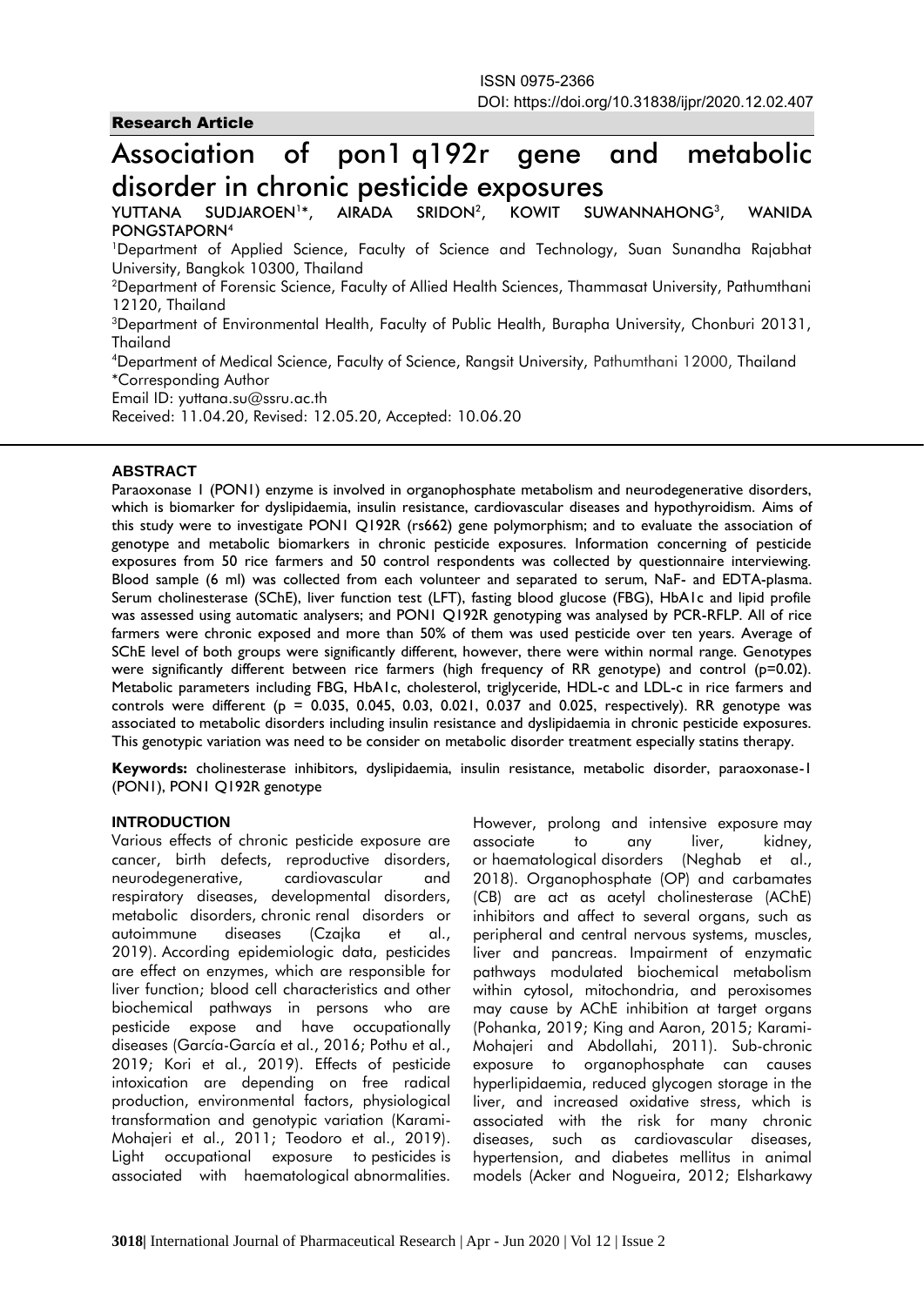# Research Article

# Association of pon1 q192r gene and metabolic disorder in chronic pesticide exposures

YUTTANA SUDJAROEN<sup>1\*</sup>.  $AIRADA$  SRIDON<sup>2</sup>. KOWIT SUWANNAHONG<sup>3</sup>. **WANIDA** PONGSTAPORN<sup>4</sup>

<sup>1</sup>Department of Applied Science, Faculty of Science and Technology, Suan Sunandha Rajabhat University, Bangkok 10300, Thailand

<sup>2</sup>Department of Forensic Science, Faculty of Allied Health Sciences, Thammasat University, Pathumthani 12120, Thailand

<sup>3</sup>Department of Environmental Health, Faculty of Public Health, Burapha University, Chonburi 20131, Thailand

<sup>4</sup>Department of Medical Science, Faculty of Science, Rangsit University, Pathumthani 12000, Thailand \*Corresponding Author

Email ID: yuttana.su@ssru.ac.th

Received: 11.04.20, Revised: 12.05.20, Accepted: 10.06.20

### **ABSTRACT**

Paraoxonase 1 (PON1) enzyme is involved in organophosphate metabolism and neurodegenerative disorders, which is biomarker for dyslipidaemia, insulin resistance, cardiovascular diseases and hypothyroidism. Aims of this study were to investigate PON1 Q192R (rs662) gene polymorphism; and to evaluate the association of genotype and metabolic biomarkers in chronic pesticide exposures. Information concerning of pesticide exposures from 50 rice farmers and 50 control respondents was collected by questionnaire interviewing. Blood sample (6 ml) was collected from each volunteer and separated to serum, NaF- and EDTA-plasma. Serum cholinesterase (SChE), liver function test (LFT), fasting blood glucose (FBG), HbA1c and lipid profile was assessed using automatic analysers; and PON1 Q192R genotyping was analysed by PCR-RFLP. All of rice farmers were chronic exposed and more than 50% of them was used pesticide over ten years. Average of SChE level of both groups were significantly different, however, there were within normal range. Genotypes were significantly different between rice farmers (high frequency of RR genotype) and control (p=0.02). Metabolic parameters including FBG, HbA1c, cholesterol, triglyceride, HDL-c and LDL-c in rice farmers and controls were different ( $p = 0.035, 0.045, 0.03, 0.021, 0.037$  and 0.025, respectively). RR genotype was associated to metabolic disorders including insulin resistance and dyslipidaemia in chronic pesticide exposures. This genotypic variation was need to be consider on metabolic disorder treatment especially statins therapy.

**Keywords:** cholinesterase inhibitors, dyslipidaemia, insulin resistance, metabolic disorder, paraoxonase-1 (PON1), PON1 Q192R genotype

#### **INTRODUCTION**

Various effects of chronic pesticide exposure are cancer, birth defects, reproductive disorders, neurodegenerative, cardiovascular and respiratory diseases, developmental disorders, metabolic disorders, chronic renal disorders or autoimmune diseases (Czajka et al., 2019). According epidemiologic data, pesticides are effect on enzymes, which are responsible for liver function; blood cell characteristics and other biochemical pathways in persons who are pesticide expose and have occupationally diseases (García-García et al., 2016; Pothu et al., 2019; Kori et al., 2019). Effects of pesticide intoxication are depending on free radical production, environmental factors, physiological transformation and genotypic variation (Karami-Mohajeri et al., 2011; Teodoro et al., 2019). Light occupational exposure to pesticides is associated with haematological abnormalities.

However, prolong and intensive exposure may associate to any liver, kidney, or haematological disorders (Neghab et al., 2018). Organophosphate (OP) and carbamates (CB) are act as acetyl cholinesterase (AChE) inhibitors and affect to several organs, such as peripheral and central nervous systems, muscles, liver and pancreas. Impairment of enzymatic pathways modulated biochemical metabolism within cytosol, mitochondria, and peroxisomes may cause by AChE inhibition at target organs (Pohanka, 2019; King and Aaron, 2015; Karami-Mohajeri and Abdollahi, 2011). Sub-chronic exposure to organophosphate can causes hyperlipidaemia, reduced glycogen storage in the liver, and increased oxidative stress, which is associated with the risk for many chronic diseases, such as cardiovascular diseases, hypertension, and diabetes mellitus in animal models (Acker and Nogueira, 2012; Elsharkawy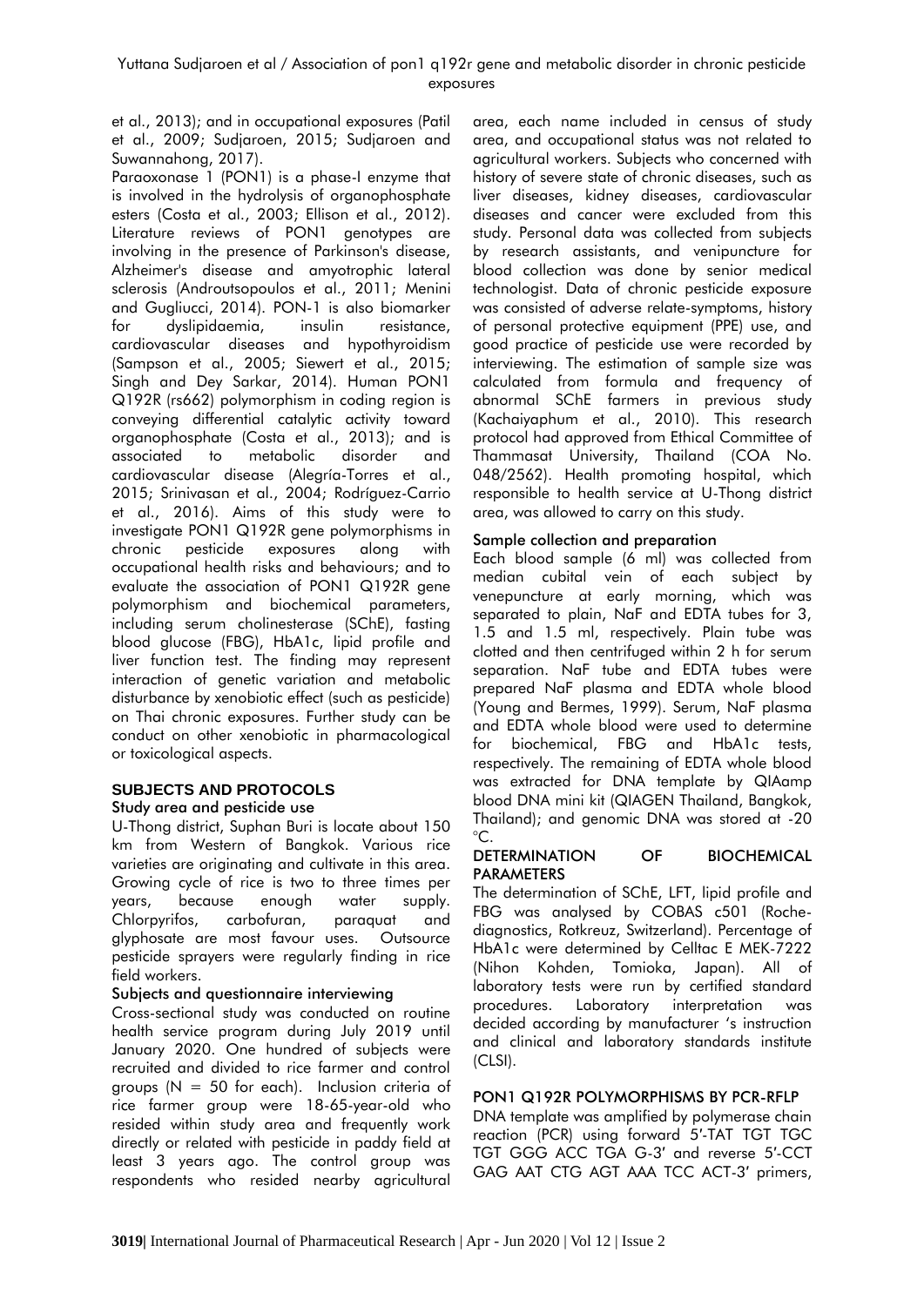et al., 2013); and in occupational exposures (Patil et al., 2009; Sudjaroen, 2015; Sudjaroen and Suwannahong, 2017).

Paraoxonase 1 (PON1) is a phase-I enzyme that is involved in the hydrolysis of organophosphate esters (Costa et al., 2003; Ellison et al., 2012). Literature reviews of PON1 genotypes are involving in the presence of Parkinson's disease, Alzheimer's disease and amyotrophic lateral sclerosis (Androutsopoulos et al., 2011; Menini and Gugliucci, 2014). PON-1 is also biomarker for dyslipidaemia, insulin resistance, cardiovascular diseases and hypothyroidism (Sampson et al., 2005; Siewert et al., 2015; Singh and Dey Sarkar, 2014). Human PON1 Q192R (rs662) polymorphism in coding region is conveying differential catalytic activity toward organophosphate (Costa et al., 2013); and is associated to metabolic disorder and cardiovascular disease (Alegría-Torres et al., 2015; Srinivasan et al., 2004; Rodríguez-Carrio et al., 2016). Aims of this study were to investigate PON1 Q192R gene polymorphisms in chronic pesticide exposures along with occupational health risks and behaviours; and to evaluate the association of PON1 Q192R gene polymorphism and biochemical parameters, including serum cholinesterase (SChE), fasting blood glucose (FBG), HbA1c, lipid profile and liver function test. The finding may represent interaction of genetic variation and metabolic disturbance by xenobiotic effect (such as pesticide) on Thai chronic exposures. Further study can be conduct on other xenobiotic in pharmacological or toxicological aspects.

#### **SUBJECTS AND PROTOCOLS** Study area and pesticide use

U-Thong district, Suphan Buri is locate about 150 km from Western of Bangkok. Various rice varieties are originating and cultivate in this area. Growing cycle of rice is two to three times per years, because enough water supply. Chlorpyrifos, carbofuran, paraquat and glyphosate are most favour uses. Outsource pesticide sprayers were regularly finding in rice field workers.

# Subjects and questionnaire interviewing

Cross-sectional study was conducted on routine health service program during July 2019 until January 2020. One hundred of subjects were recruited and divided to rice farmer and control groups ( $N = 50$  for each). Inclusion criteria of rice farmer group were 18-65-year-old who resided within study area and frequently work directly or related with pesticide in paddy field at least 3 years ago. The control group was respondents who resided nearby agricultural

area, each name included in census of study area, and occupational status was not related to agricultural workers. Subjects who concerned with history of severe state of chronic diseases, such as liver diseases, kidney diseases, cardiovascular diseases and cancer were excluded from this study. Personal data was collected from subjects by research assistants, and venipuncture for blood collection was done by senior medical technologist. Data of chronic pesticide exposure was consisted of adverse relate-symptoms, history of personal protective equipment (PPE) use, and good practice of pesticide use were recorded by interviewing. The estimation of sample size was calculated from formula and frequency of abnormal SChE farmers in previous study (Kachaiyaphum et al., 2010). This research protocol had approved from Ethical Committee of Thammasat University, Thailand (COA No. 048/2562). Health promoting hospital, which responsible to health service at U-Thong district area, was allowed to carry on this study.

# Sample collection and preparation

Each blood sample (6 ml) was collected from median cubital vein of each subject by venepuncture at early morning, which was separated to plain, NaF and EDTA tubes for 3, 1.5 and 1.5 ml, respectively. Plain tube was clotted and then centrifuged within 2 h for serum separation. NaF tube and EDTA tubes were prepared NaF plasma and EDTA whole blood (Young and Bermes, 1999). Serum, NaF plasma and EDTA whole blood were used to determine for biochemical, FBG and HbA1c tests, respectively. The remaining of EDTA whole blood was extracted for DNA template by QIAamp blood DNA mini kit (QIAGEN Thailand, Bangkok, Thailand); and genomic DNA was stored at -20  $^{\circ}$ C.

# DETERMINATION OF BIOCHEMICAL PARAMETERS

The determination of SChE, LFT, lipid profile and FBG was analysed by COBAS c501 (Rochediagnostics, Rotkreuz, Switzerland). Percentage of HbA1c were determined by Celltac E MEK-7222 (Nihon Kohden, Tomioka, Japan). All of laboratory tests were run by certified standard procedures. Laboratory interpretation was decided according by manufacturer 's instruction and clinical and laboratory standards institute (CLSI).

# PON1 Q192R POLYMORPHISMS BY PCR-RFLP

DNA template was amplified by polymerase chain reaction (PCR) using forward 5′-TAT TGT TGC TGT GGG ACC TGA G-3′ and reverse 5′-CCT GAG AAT CTG AGT AAA TCC ACT-3′ primers,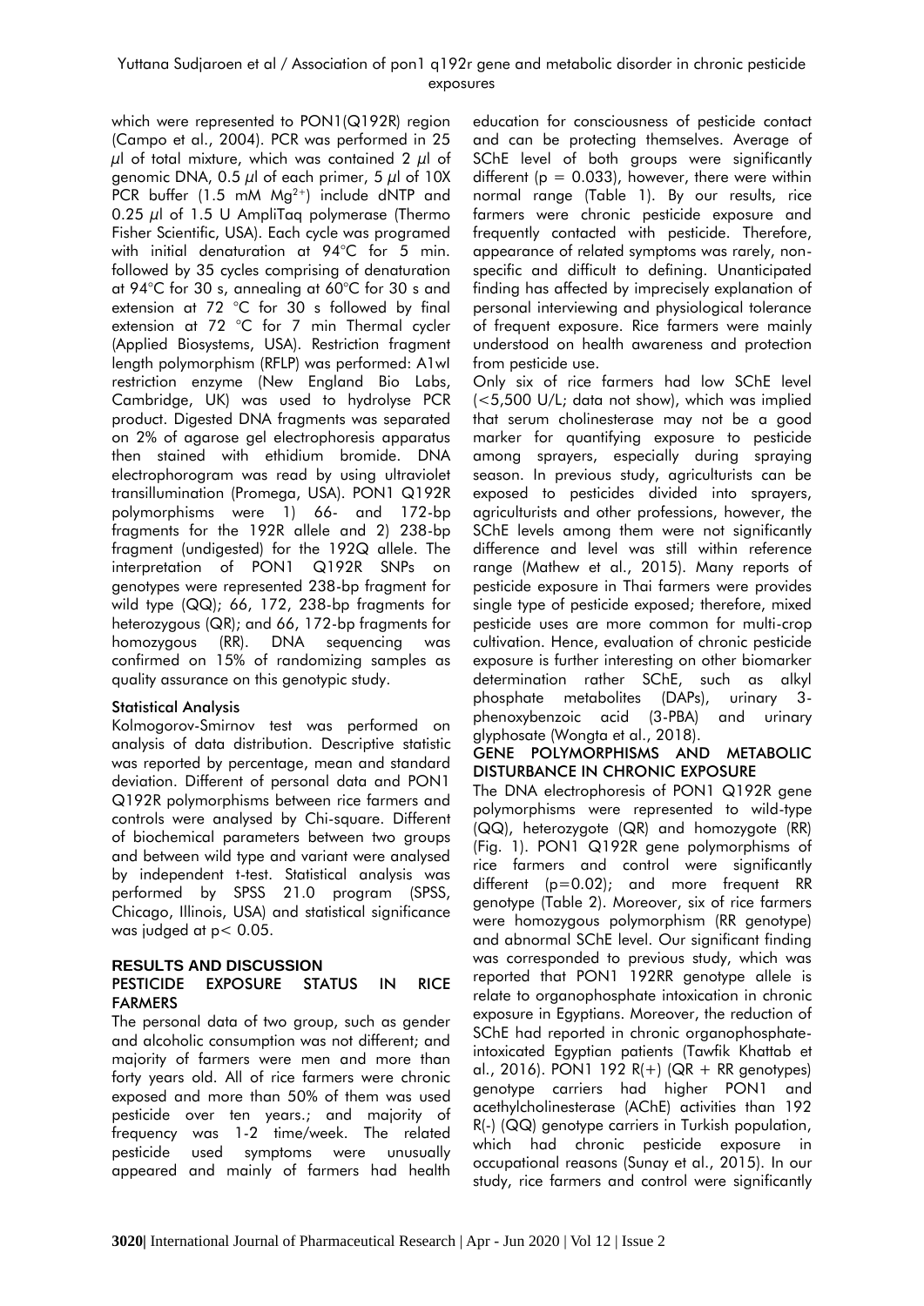### Yuttana Sudjaroen et al / Association of pon1 q192r gene and metabolic disorder in chronic pesticide exposures

which were represented to PON1(Q192R) region (Campo et al., 2004). PCR was performed in 25  $\mu$ l of total mixture, which was contained 2  $\mu$ l of genomic DNA, 0.5  $\mu$ l of each primer, 5  $\mu$ l of 10X PCR buffer (1.5 mM  $Mg^{2+}$ ) include dNTP and 0.25  $\mu$ l of 1.5 U AmpliTaq polymerase (Thermo Fisher Scientific, USA). Each cycle was programed with initial denaturation at 94°C for 5 min. followed by 35 cycles comprising of denaturation at 94°C for 30 s, annealing at 60°C for 30 s and extension at 72 °C for 30 s followed by final extension at 72 °C for 7 min Thermal cycler (Applied Biosystems, USA). Restriction fragment length polymorphism (RFLP) was performed: A1wI restriction enzyme (New England Bio Labs, Cambridge, UK) was used to hydrolyse PCR product. Digested DNA fragments was separated on 2% of agarose gel electrophoresis apparatus then stained with ethidium bromide. DNA electrophorogram was read by using ultraviolet transillumination (Promega, USA). PON1 Q192R polymorphisms were 1) 66- and 172-bp fragments for the 192R allele and 2) 238-bp fragment (undigested) for the 192Q allele. The interpretation of PON1 Q192R SNPs on genotypes were represented 238-bp fragment for wild type (QQ); 66, 172, 238-bp fragments for heterozygous (QR); and 66, 172-bp fragments for homozygous (RR). DNA sequencing was confirmed on 15% of randomizing samples as quality assurance on this genotypic study.

#### Statistical Analysis

Kolmogorov-Smirnov test was performed on analysis of data distribution. Descriptive statistic was reported by percentage, mean and standard deviation. Different of personal data and PON1 Q192R polymorphisms between rice farmers and controls were analysed by Chi-square. Different of biochemical parameters between two groups and between wild type and variant were analysed by independent t-test. Statistical analysis was performed by SPSS 21.0 program (SPSS, Chicago, Illinois, USA) and statistical significance was judged at p< 0.05.

#### **RESULTS AND DISCUSSION** PESTICIDE EXPOSURE STATUS IN RICE FARMERS

The personal data of two group, such as gender and alcoholic consumption was not different; and majority of farmers were men and more than forty years old. All of rice farmers were chronic exposed and more than 50% of them was used pesticide over ten years.; and majority of frequency was 1-2 time/week. The related pesticide used symptoms were unusually appeared and mainly of farmers had health

education for consciousness of pesticide contact and can be protecting themselves. Average of SChE level of both groups were significantly different ( $p = 0.033$ ), however, there were within normal range (Table 1). By our results, rice farmers were chronic pesticide exposure and frequently contacted with pesticide. Therefore, appearance of related symptoms was rarely, nonspecific and difficult to defining. Unanticipated finding has affected by imprecisely explanation of personal interviewing and physiological tolerance of frequent exposure. Rice farmers were mainly understood on health awareness and protection from pesticide use.

Only six of rice farmers had low SChE level (<5,500 U/L; data not show), which was implied that serum cholinesterase may not be a good marker for quantifying exposure to pesticide among sprayers, especially during spraying season. In previous study, agriculturists can be exposed to pesticides divided into sprayers, agriculturists and other professions, however, the SChE levels among them were not significantly difference and level was still within reference range (Mathew et al., 2015). Many reports of pesticide exposure in Thai farmers were provides single type of pesticide exposed; therefore, mixed pesticide uses are more common for multi-crop cultivation. Hence, evaluation of chronic pesticide exposure is further interesting on other biomarker determination rather SChE, such as alkyl phosphate metabolites (DAPs), urinary 3 phenoxybenzoic acid (3-PBA) and urinary glyphosate (Wongta et al., 2018).

#### GENE POLYMORPHISMS AND METABOLIC DISTURBANCE IN CHRONIC EXPOSURE

The DNA electrophoresis of PON1 Q192R gene polymorphisms were represented to wild-type (QQ), heterozygote (QR) and homozygote (RR) (Fig. 1). PON1 Q192R gene polymorphisms of rice farmers and control were significantly different (p=0.02); and more frequent RR genotype (Table 2). Moreover, six of rice farmers were homozygous polymorphism (RR genotype) and abnormal SChE level. Our significant finding was corresponded to previous study, which was reported that PON1 192RR genotype allele is relate to organophosphate intoxication in chronic exposure in Egyptians. Moreover, the reduction of SChE had reported in chronic organophosphateintoxicated Egyptian patients (Tawfik Khattab et al., 2016). PON1 192  $R(+)$  (QR + RR genotypes) genotype carriers had higher PON1 and acethylcholinesterase (AChE) activities than 192 R(-) (QQ) genotype carriers in Turkish population, which had chronic pesticide exposure in occupational reasons (Sunay et al., 2015). In our study, rice farmers and control were significantly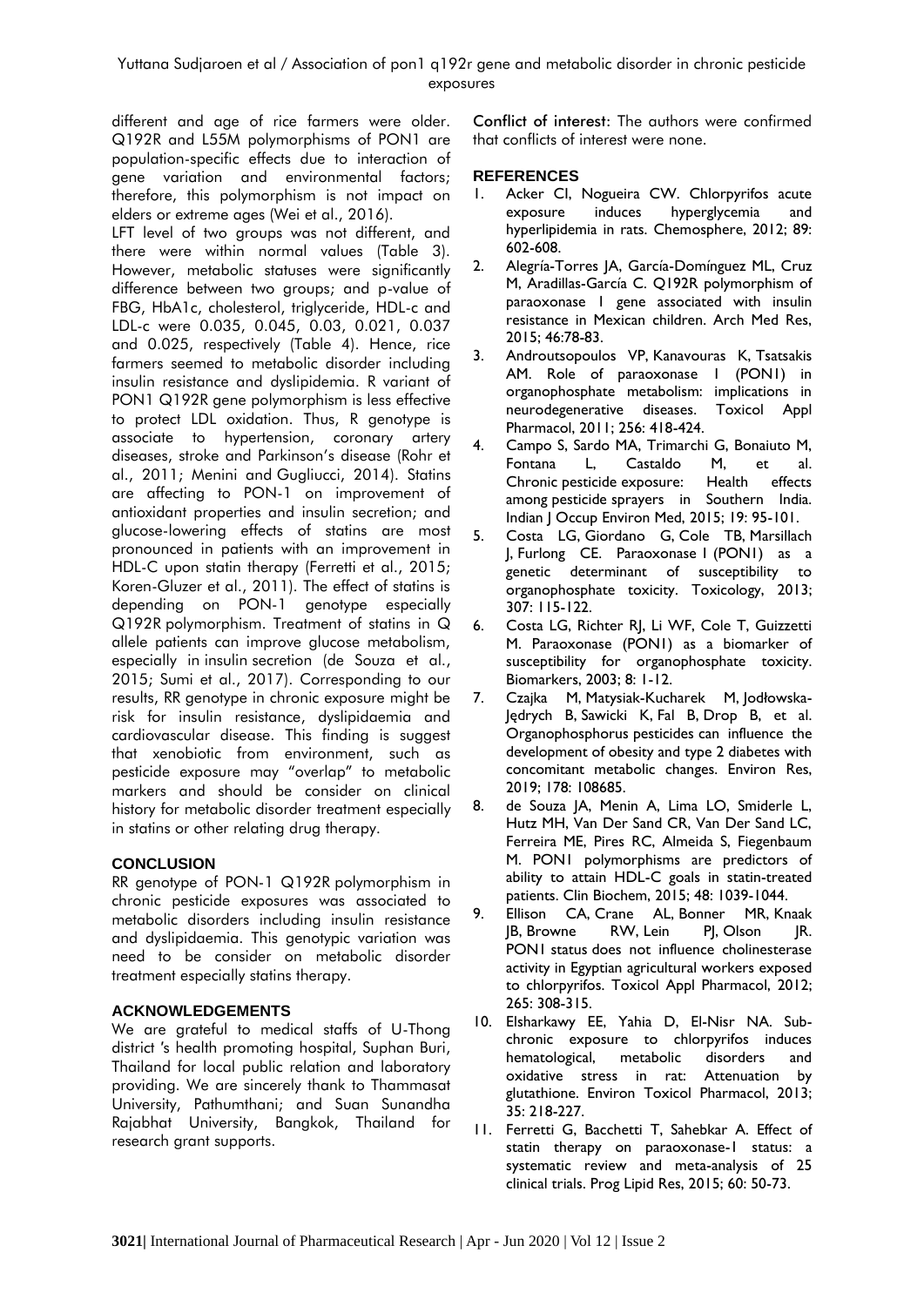different and age of rice farmers were older. Q192R and L55M polymorphisms of PON1 are population-specific effects due to interaction of gene variation and environmental factors; therefore, this polymorphism is not impact on elders or extreme ages (Wei et al., 2016).

LFT level of two groups was not different, and there were within normal values (Table 3). However, metabolic statuses were significantly difference between two groups; and p-value of FBG, HbA1c, cholesterol, triglyceride, HDL-c and LDL-c were 0.035, 0.045, 0.03, 0.021, 0.037 and 0.025, respectively (Table 4). Hence, rice farmers seemed to metabolic disorder including insulin resistance and dyslipidemia. R variant of PON1 Q192R gene polymorphism is less effective to protect LDL oxidation. Thus, R genotype is associate to hypertension, coronary artery diseases, stroke and Parkinson's disease (Rohr et al., 2011; Menini and Gugliucci, 2014). Statins are affecting to PON-1 on improvement of antioxidant properties and insulin secretion; and glucose-lowering effects of statins are most pronounced in patients with an improvement in HDL-C upon statin therapy (Ferretti et al., 2015; Koren-Gluzer et al., 2011). The effect of statins is depending on PON-1 genotype especially Q192R polymorphism. Treatment of statins in Q allele patients can improve glucose metabolism, especially in insulin secretion (de Souza et al., 2015; Sumi et al., 2017). Corresponding to our results, RR genotype in chronic exposure might be risk for insulin resistance, dyslipidaemia and cardiovascular disease. This finding is suggest that xenobiotic from environment, such as pesticide exposure may "overlap" to metabolic markers and should be consider on clinical history for metabolic disorder treatment especially in statins or other relating drug therapy.

# **CONCLUSION**

RR genotype of PON-1 Q192R polymorphism in chronic pesticide exposures was associated to metabolic disorders including insulin resistance and dyslipidaemia. This genotypic variation was need to be consider on metabolic disorder treatment especially statins therapy.

# **ACKNOWLEDGEMENTS**

We are grateful to medical staffs of U-Thong district ′s health promoting hospital, Suphan Buri, Thailand for local public relation and laboratory providing. We are sincerely thank to Thammasat University, Pathumthani; and Suan Sunandha Rajabhat University, Bangkok, Thailand for research grant supports.

Conflict of interest: The authors were confirmed that conflicts of interest were none.

# **REFERENCES**

- 1. Acker CI, Nogueira CW. Chlorpyrifos acute exposure induces hyperglycemia and hyperlipidemia in rats. Chemosphere, 2012; 89: 602-608.
- 2. Alegría-Torres JA, García-Domínguez ML, Cruz M, Aradillas-García C. Q192R polymorphism of paraoxonase 1 gene associated with insulin resistance in Mexican children. Arch Med Res, 2015; 46:78-83.
- 3. Androutsopoulos VP, Kanavouras K, Tsatsakis AM. Role of paraoxonase I (PONI) in organophosphate metabolism: implications in neurodegenerative diseases. Toxicol Appl Pharmacol, 2011; 256: 418-424.
- 4. Campo S, Sardo MA, Trimarchi G, Bonaiuto M, Fontana L, Castaldo M, et al. Chronic pesticide exposure: Health effects among pesticide sprayers in Southern India. Indian J Occup Environ Med, 2015; 19: 95-101.
- 5. Costa LG, Giordano G, Cole TB, Marsillach J, Furlong CE. Paraoxonase 1 (PON1) as a genetic determinant of susceptibility to organophosphate toxicity. Toxicology, 2013; 307: 115-122.
- 6. Costa LG, Richter RJ, Li WF, Cole T, Guizzetti M. Paraoxonase (PON1) as a biomarker of susceptibility for organophosphate toxicity. Biomarkers, 2003; 8: 1-12.
- 7. Czajka M, Matysiak-Kucharek M, Jodłowska-Jędrych B, Sawicki K, Fal B, Drop B, et al. Organophosphorus pesticides can influence the development of obesity and type 2 diabetes with concomitant metabolic changes. Environ Res, 2019; 178: 108685.
- 8. de Souza JA, Menin A, Lima LO, Smiderle L, Hutz MH, Van Der Sand CR, Van Der Sand LC, Ferreira ME, Pires RC, Almeida S, Fiegenbaum M. PON1 polymorphisms are predictors of ability to attain HDL-C goals in statin-treated patients. Clin Biochem, 2015; 48: 1039-1044.
- 9. Ellison CA, Crane AL, Bonner MR, Knaak JB, Browne RW, Lein PJ, Olson JR. PON1 status does not influence cholinesterase activity in Egyptian agricultural workers exposed to chlorpyrifos. Toxicol Appl Pharmacol, 2012; 265: 308-315.
- 10. Elsharkawy EE, Yahia D, El-Nisr NA. Subchronic exposure to chlorpyrifos induces hematological, metabolic disorders and oxidative stress in rat: Attenuation by glutathione. Environ Toxicol Pharmacol, 2013; 35: 218-227.
- 11. Ferretti G, Bacchetti T, Sahebkar A. Effect of statin therapy on paraoxonase-1 status: a systematic review and meta-analysis of 25 clinical trials. Prog Lipid Res, 2015; 60: 50-73.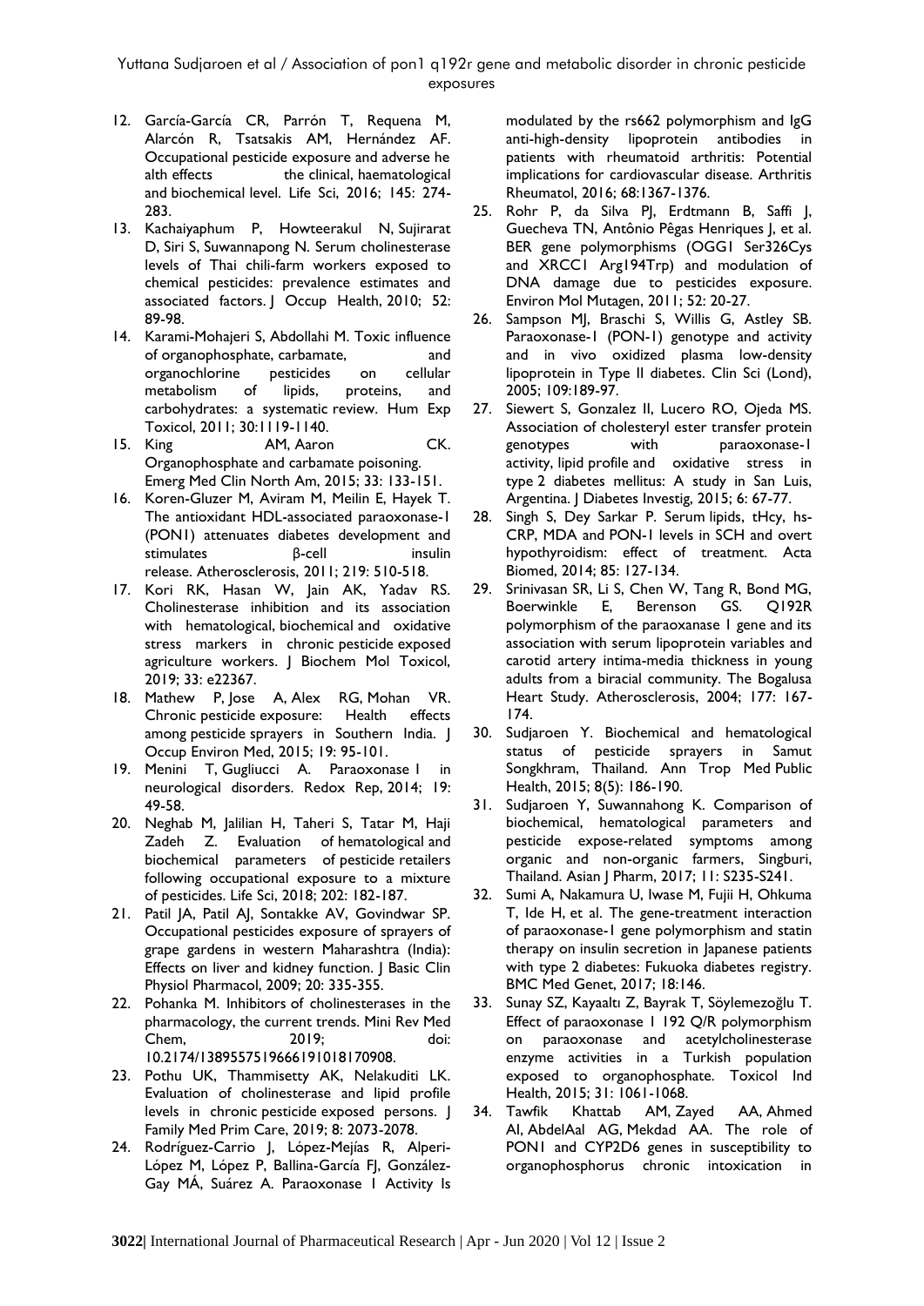Yuttana Sudjaroen et al / Association of pon1 q192r gene and metabolic disorder in chronic pesticide exposures

- 12. García-García CR, Parrón T, Requena M, Alarcón R, Tsatsakis AM, Hernández AF. Occupational pesticide exposure and adverse he alth effects the clinical, haematological and biochemical level. Life Sci, 2016; 145: 274- 283.
- 13. Kachaiyaphum P, Howteerakul N, Sujirarat D, Siri S, Suwannapong N. Serum cholinesterase levels of Thai chili-farm workers exposed to chemical pesticides: prevalence estimates and associated factors. J Occup Health, 2010; 52: 89-98.
- 14. Karami-Mohajeri S, Abdollahi M. Toxic influence of organophosphate, carbamate, and organochlorine pesticides on cellular metabolism of lipids, proteins, and carbohydrates: a systematic review. Hum Exp Toxicol, 2011; 30:1119-1140.<br>I5. King AM, Aaron
- AM, Aaron CK. Organophosphate and carbamate poisoning. Emerg Med Clin North Am, 2015; 33: 133-151.
- 16. Koren-Gluzer M, Aviram M, Meilin E, Hayek T. The antioxidant HDL-associated paraoxonase-1 (PON1) attenuates diabetes development and stimulates **β-cell** insulin release. Atherosclerosis, 2011; 219: 510-518.
- 17. Kori RK, Hasan W, Jain AK, Yadav RS. Cholinesterase inhibition and its association with hematological, biochemical and oxidative stress markers in chronic pesticide exposed agriculture workers. | Biochem Mol Toxicol, 2019; 33: e22367.
- 18. Mathew P, Jose A, Alex RG, Mohan VR. Chronic pesticide exposure: Health effects among pesticide sprayers in Southern India. J Occup Environ Med, 2015; 19: 95-101.
- 19. Menini T, Gugliucci A. Paraoxonase I in neurological disorders. Redox Rep, 2014; 19: 49-58.
- 20. Neghab M, Jalilian H, Taheri S, Tatar M, Haji Zadeh Z. Evaluation of hematological and biochemical parameters of pesticide retailers following occupational exposure to a mixture of pesticides. Life Sci, 2018; 202: 182-187.
- 21. Patil JA, Patil AJ, Sontakke AV, Govindwar SP. Occupational pesticides exposure of sprayers of grape gardens in western Maharashtra (India): Effects on liver and kidney function. | Basic Clin Physiol Pharmacol, 2009; 20: 335-355.
- 22. Pohanka M. Inhibitors of cholinesterases in the pharmacology, the current trends. Mini Rev Med Chem, 2019; doi: 10.2174/1389557519666191018170908.
- 23. Pothu UK, Thammisetty AK, Nelakuditi LK. Evaluation of cholinesterase and lipid profile levels in chronic pesticide exposed persons. J Family Med Prim Care, 2019; 8: 2073-2078.
- 24. Rodríguez-Carrio J, López-Mejías R, Alperi-López M, López P, Ballina-García FJ, González-Gay MÁ, Suárez A. Paraoxonase 1 Activity Is

modulated by the rs662 polymorphism and IgG anti-high-density lipoprotein antibodies in patients with rheumatoid arthritis: Potential implications for cardiovascular disease. Arthritis Rheumatol, 2016; 68:1367-1376.

- 25. Rohr P, da Silva PJ, Erdtmann B, Saffi J, Guecheva TN, Antônio Pêgas Henriques J, et al. BER gene polymorphisms (OGG1 Ser326Cys and XRCC1 Arg194Trp) and modulation of DNA damage due to pesticides exposure. Environ Mol Mutagen, 2011; 52: 20-27.
- 26. Sampson MJ, Braschi S, Willis G, Astley SB. Paraoxonase-1 (PON-1) genotype and activity and in vivo oxidized plasma low-density lipoprotein in Type II diabetes. Clin Sci (Lond), 2005; 109:189-97.
- 27. Siewert S, Gonzalez II, Lucero RO, Ojeda MS. Association of cholesteryl ester transfer protein genotypes with paraoxonase-1 activity, lipid profile and oxidative stress in type 2 diabetes mellitus: A study in San Luis, Argentina. J Diabetes Investig, 2015; 6: 67-77.
- 28. Singh S, Dey Sarkar P. Serum lipids, tHcy, hs-CRP, MDA and PON-1 levels in SCH and overt hypothyroidism: effect of treatment. Acta Biomed, 2014; 85: 127-134.
- 29. Srinivasan SR, Li S, Chen W, Tang R, Bond MG, Boerwinkle E, Berenson GS. Q192R polymorphism of the paraoxanase 1 gene and its association with serum lipoprotein variables and carotid artery intima-media thickness in young adults from a biracial community. The Bogalusa Heart Study. Atherosclerosis, 2004; 177: 167- 174.
- 30. Sudjaroen Y. Biochemical and hematological status of pesticide sprayers in Samut Songkhram, Thailand. Ann Trop Med Public Health, 2015; 8(5): 186-190.
- 31. Sudjaroen Y, Suwannahong K. Comparison of biochemical, hematological parameters and pesticide expose-related symptoms among organic and non-organic farmers, Singburi, Thailand. Asian J Pharm, 2017; 11: S235-S241.
- 32. Sumi A, Nakamura U, Iwase M, Fujii H, Ohkuma T, Ide H, et al. The gene-treatment interaction of paraoxonase-1 gene polymorphism and statin therapy on insulin secretion in Japanese patients with type 2 diabetes: Fukuoka diabetes registry. BMC Med Genet, 2017; 18:146.
- 33. Sunay SZ, Kayaaltı Z, Bayrak T, Söylemezoğlu T. Effect of paraoxonase 1 192 Q/R polymorphism on paraoxonase and acetylcholinesterase enzyme activities in a Turkish population exposed to organophosphate. Toxicol Ind Health, 2015; 31: 1061-1068.
- 34. Tawfik Khattab AM, Zayed AA, Ahmed AI, AbdelAal AG, Mekdad AA. The role of PON1 and CYP2D6 genes in susceptibility to organophosphorus chronic intoxication in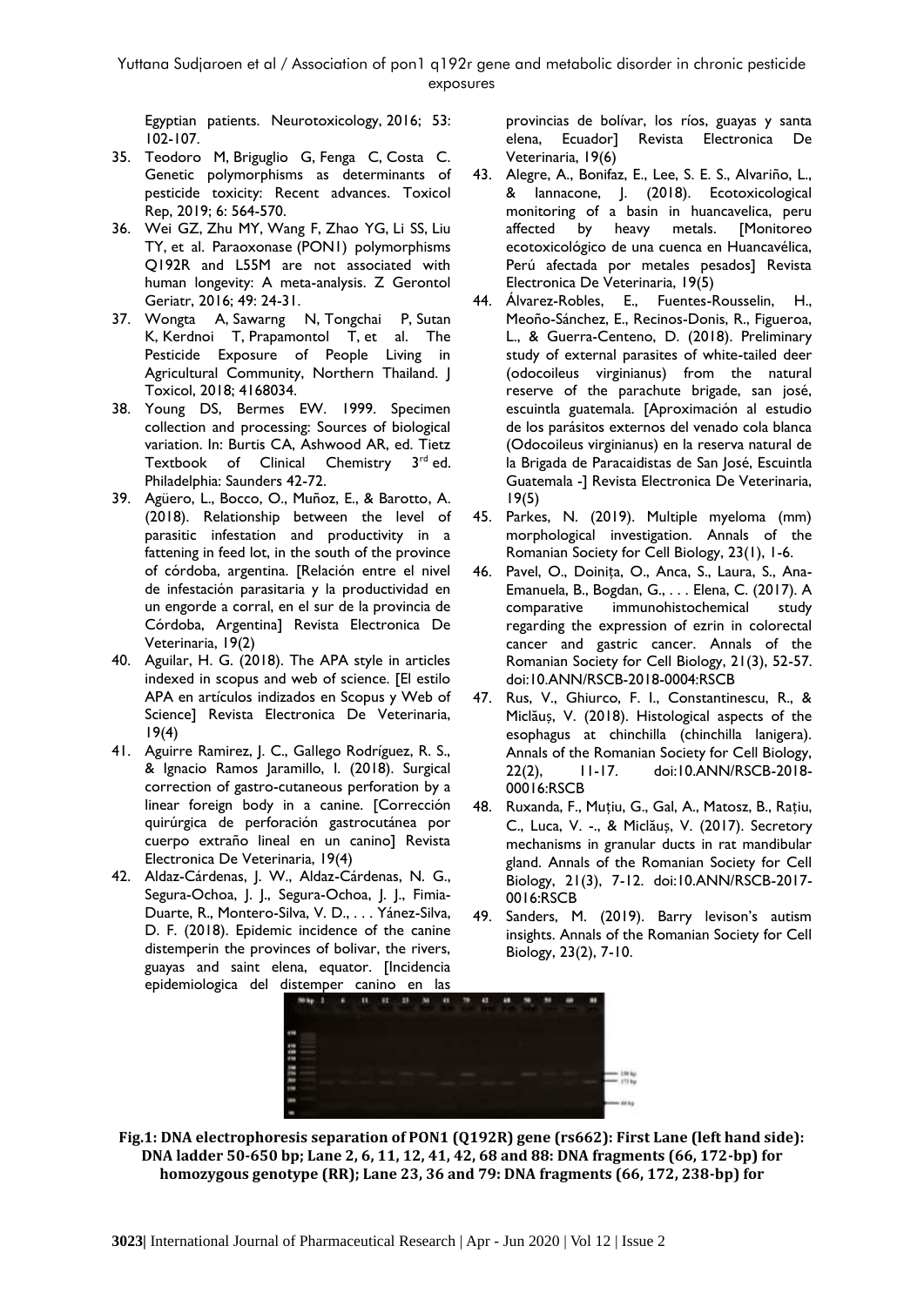Egyptian patients. Neurotoxicology, 2016; 53: 102-107.

- 35. Teodoro M, Briguglio G, Fenga C, Costa C. Genetic polymorphisms as determinants of pesticide toxicity: Recent advances. Toxicol Rep, 2019; 6: 564-570.
- 36. Wei GZ, Zhu MY, Wang F, Zhao YG, Li SS, Liu TY, et al. Paraoxonase (PON1) polymorphisms Q192R and L55M are not associated with human longevity: A meta-analysis. Z Gerontol Geriatr, 2016; 49: 24-31.
- 37. Wongta A, Sawarng N, Tongchai P, Sutan K, Kerdnoi T, Prapamontol T, et al. The Pesticide Exposure of People Living in Agricultural Community, Northern Thailand. | Toxicol, 2018; 4168034.
- 38. Young DS, Bermes EW. 1999. Specimen collection and processing: Sources of biological variation. In: Burtis CA, Ashwood AR, ed. Tietz Textbook of Clinical Chemistry 3<sup>rd</sup> ed. Philadelphia: Saunders 42-72.
- 39. Agüero, L., Bocco, O., Muñoz, E., & Barotto, A. (2018). Relationship between the level of parasitic infestation and productivity in a fattening in feed lot, in the south of the province of córdoba, argentina. [Relación entre el nivel de infestación parasitaria y la productividad en un engorde a corral, en el sur de la provincia de Córdoba, Argentina] Revista Electronica De Veterinaria, 19(2)
- 40. Aguilar, H. G. (2018). The APA style in articles indexed in scopus and web of science. [El estilo APA en artículos indizados en Scopus y Web of Science] Revista Electronica De Veterinaria, 19(4)
- 41. Aguirre Ramirez, J. C., Gallego Rodríguez, R. S., & Ignacio Ramos Jaramillo, I. (2018). Surgical correction of gastro-cutaneous perforation by a linear foreign body in a canine. [Corrección quirúrgica de perforación gastrocutánea por cuerpo extraño lineal en un canino] Revista Electronica De Veterinaria, 19(4)
- 42. Aldaz-Cárdenas, J. W., Aldaz-Cárdenas, N. G., Segura-Ochoa, J. J., Segura-Ochoa, J. J., Fimia-Duarte, R., Montero-Silva, V. D., . . . Yánez-Silva, D. F. (2018). Epidemic incidence of the canine distemperin the provinces of bolivar, the rivers, guayas and saint elena, equator. [Incidencia epidemiologica del distemper canino en las

provincias de bolívar, los ríos, guayas y santa elena, Ecuador] Revista Electronica De Veterinaria, 19(6)

- 43. Alegre, A., Bonifaz, E., Lee, S. E. S., Alvariño, L., & Iannacone, J. (2018). Ecotoxicological monitoring of a basin in huancavelica, peru affected by heavy metals. [Monitoreo ecotoxicológico de una cuenca en Huancavélica, Perú afectada por metales pesados] Revista Electronica De Veterinaria, 19(5)
- 44. Álvarez-Robles, E., Fuentes-Rousselin, H., Meoño-Sánchez, E., Recinos-Donis, R., Figueroa, L., & Guerra-Centeno, D. (2018). Preliminary study of external parasites of white-tailed deer (odocoileus virginianus) from the natural reserve of the parachute brigade, san josé, escuintla guatemala. [Aproximación al estudio de los parásitos externos del venado cola blanca (Odocoileus virginianus) en la reserva natural de la Brigada de Paracaidistas de San José, Escuintla Guatemala -] Revista Electronica De Veterinaria, 19(5)
- 45. Parkes, N. (2019). Multiple myeloma (mm) morphological investigation. Annals of the Romanian Society for Cell Biology, 23(1), 1-6.
- 46. Pavel, O., Doinița, O., Anca, S., Laura, S., Ana-Emanuela, B., Bogdan, G., . . . Elena, C. (2017). A comparative immunohistochemical study regarding the expression of ezrin in colorectal cancer and gastric cancer. Annals of the Romanian Society for Cell Biology, 21(3), 52-57. doi:10.ANN/RSCB-2018-0004:RSCB
- 47. Rus, V., Ghiurco, F. I., Constantinescu, R., & Miclăuș, V. (2018). Histological aspects of the esophagus at chinchilla (chinchilla lanigera). Annals of the Romanian Society for Cell Biology, 22(2), 11-17. doi:10.ANN/RSCB-2018- 00016:RSCB
- 48. Ruxanda, F., Muțiu, G., Gal, A., Matosz, B., Rațiu, C., Luca, V. -., & Miclăuș, V. (2017). Secretory mechanisms in granular ducts in rat mandibular gland. Annals of the Romanian Society for Cell Biology, 21(3), 7-12. doi:10.ANN/RSCB-2017- 0016:RSCB
- 49. Sanders, M. (2019). Barry levison's autism insights. Annals of the Romanian Society for Cell Biology, 23(2), 7-10.



**Fig.1: DNA electrophoresis separation of PON1 (Q192R) gene (rs662): First Lane (left hand side): DNA ladder 50-650 bp; Lane 2, 6, 11, 12, 41, 42, 68 and 88: DNA fragments (66, 172-bp) for homozygous genotype (RR); Lane 23, 36 and 79: DNA fragments (66, 172, 238-bp) for**